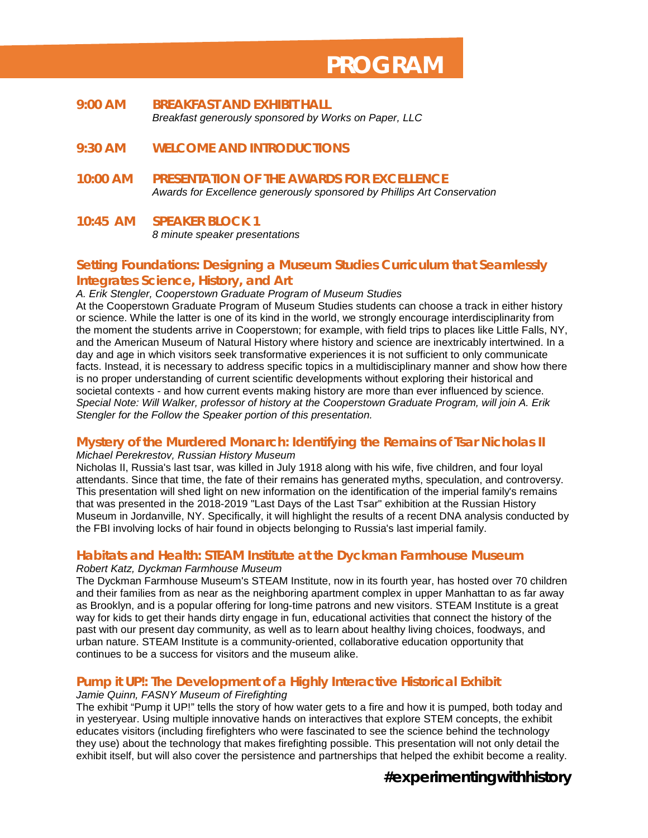# **PROGRAM**

- **9:00 AM BREAKFAST AND EXHIBIT HALL** *Breakfast generously sponsored by Works on Paper, LLC*
- **9:30 AM WELCOME AND INTRODUCTIONS**
- **10:00 AM PRESENTATION OF THE** *AWARDS FOR EXCELLENCE Awards for Excellence generously sponsored by Phillips Art Conservation*
- **10:45 AM SPEAKER BLOCK 1** *8 minute speaker presentations*

## **Setting Foundations: Designing a Museum Studies Curriculum that Seamlessly Integrates Science, History, and Art**

#### *A. Erik Stengler, Cooperstown Graduate Program of Museum Studies*

At the Cooperstown Graduate Program of Museum Studies students can choose a track in either history or science. While the latter is one of its kind in the world, we strongly encourage interdisciplinarity from the moment the students arrive in Cooperstown; for example, with field trips to places like Little Falls, NY, and the American Museum of Natural History where history and science are inextricably intertwined. In a day and age in which visitors seek transformative experiences it is not sufficient to only communicate facts. Instead, it is necessary to address specific topics in a multidisciplinary manner and show how there is no proper understanding of current scientific developments without exploring their historical and societal contexts - and how current events making history are more than ever influenced by science. *Special Note: Will Walker, professor of history at the Cooperstown Graduate Program, will join A. Erik Stengler for the Follow the Speaker portion of this presentation.* 

#### **Mystery of the Murdered Monarch: Identifying the Remains of Tsar Nicholas II**

#### *Michael Perekrestov, Russian History Museum*

Nicholas II, Russia's last tsar, was killed in July 1918 along with his wife, five children, and four loyal attendants. Since that time, the fate of their remains has generated myths, speculation, and controversy. This presentation will shed light on new information on the identification of the imperial family's remains that was presented in the 2018-2019 "Last Days of the Last Tsar" exhibition at the Russian History Museum in Jordanville, NY. Specifically, it will highlight the results of a recent DNA analysis conducted by the FBI involving locks of hair found in objects belonging to Russia's last imperial family.

#### **Habitats and Health: STEAM Institute at the Dyckman Farmhouse Museum** *Robert Katz, Dyckman Farmhouse Museum*

The Dyckman Farmhouse Museum's STEAM Institute, now in its fourth year, has hosted over 70 children and their families from as near as the neighboring apartment complex in upper Manhattan to as far away as Brooklyn, and is a popular offering for long-time patrons and new visitors. STEAM Institute is a great way for kids to get their hands dirty engage in fun, educational activities that connect the history of the past with our present day community, as well as to learn about healthy living choices, foodways, and urban nature. STEAM Institute is a community-oriented, collaborative education opportunity that continues to be a success for visitors and the museum alike.

## **Pump it UP!: The Development of a Highly Interactive Historical Exhibit**

#### *Jamie Quinn, FASNY Museum of Firefighting*

The exhibit "Pump it UP!" tells the story of how water gets to a fire and how it is pumped, both today and in yesteryear. Using multiple innovative hands on interactives that explore STEM concepts, the exhibit educates visitors (including firefighters who were fascinated to see the science behind the technology they use) about the technology that makes firefighting possible. This presentation will not only detail the exhibit itself, but will also cover the persistence and partnerships that helped the exhibit become a reality.

# **#experimentingwithhistory**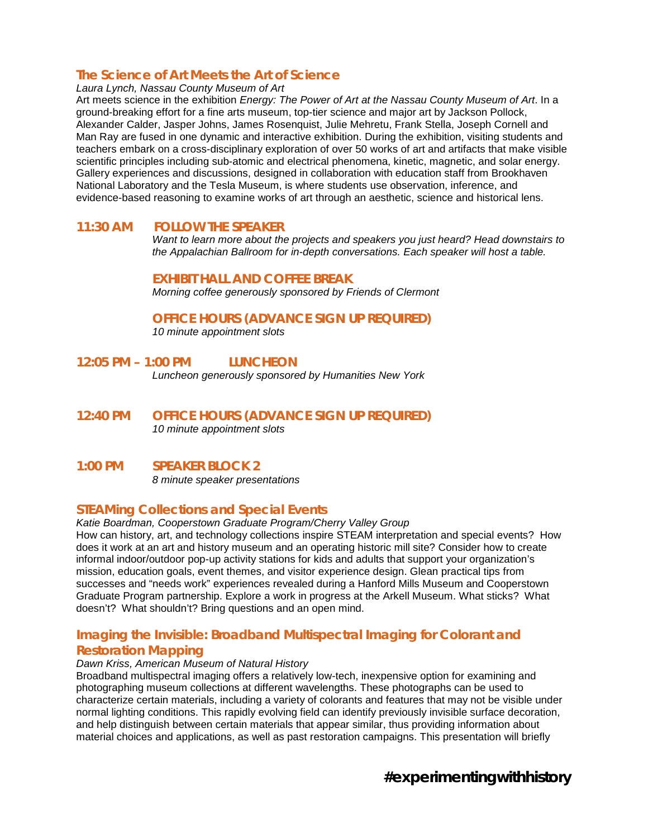## **The Science of Art Meets the Art of Science**

*Laura Lynch, Nassau County Museum of Art*

Art meets science in the exhibition *Energy: The Power of Art at the Nassau County Museum of Art*. In a ground-breaking effort for a fine arts museum, top-tier science and major art by Jackson Pollock, Alexander Calder, Jasper Johns, James Rosenquist, Julie Mehretu, Frank Stella, Joseph Cornell and Man Ray are fused in one dynamic and interactive exhibition. During the exhibition, visiting students and teachers embark on a cross-disciplinary exploration of over 50 works of art and artifacts that make visible scientific principles including sub-atomic and electrical phenomena, kinetic, magnetic, and solar energy. Gallery experiences and discussions, designed in collaboration with education staff from Brookhaven National Laboratory and the Tesla Museum, is where students use observation, inference, and evidence-based reasoning to examine works of art through an aesthetic, science and historical lens.

## **11:30 AM FOLLOW THE SPEAKER**

*Want to learn more about the projects and speakers you just heard? Head downstairs to the Appalachian Ballroom for in-depth conversations. Each speaker will host a table.*

#### **EXHIBIT HALL AND COFFEE BREAK**

*Morning coffee generously sponsored by Friends of Clermont*

#### **OFFICE HOURS (ADVANCE SIGN UP REQUIRED)**

*10 minute appointment slots*

## **12:05 PM – 1:00 PM LUNCHEON**

*Luncheon generously sponsored by Humanities New York*

**12:40 PM OFFICE HOURS (ADVANCE SIGN UP REQUIRED)** *10 minute appointment slots*

## **1:00 PM SPEAKER BLOCK 2**

*8 minute speaker presentations*

## **STEAMing Collections and Special Events**

*Katie Boardman, Cooperstown Graduate Program/Cherry Valley Group*

How can history, art, and technology collections inspire STEAM interpretation and special events? How does it work at an art and history museum and an operating historic mill site? Consider how to create informal indoor/outdoor pop-up activity stations for kids and adults that support your organization's mission, education goals, event themes, and visitor experience design. Glean practical tips from successes and "needs work" experiences revealed during a Hanford Mills Museum and Cooperstown Graduate Program partnership. Explore a work in progress at the Arkell Museum. What sticks? What doesn't? What shouldn't? Bring questions and an open mind.

## **Imaging the Invisible: Broadband Multispectral Imaging for Colorant and Restoration Mapping**

#### *Dawn Kriss, American Museum of Natural History*

Broadband multispectral imaging offers a relatively low-tech, inexpensive option for examining and photographing museum collections at different wavelengths. These photographs can be used to characterize certain materials, including a variety of colorants and features that may not be visible under normal lighting conditions. This rapidly evolving field can identify previously invisible surface decoration, and help distinguish between certain materials that appear similar, thus providing information about material choices and applications, as well as past restoration campaigns. This presentation will briefly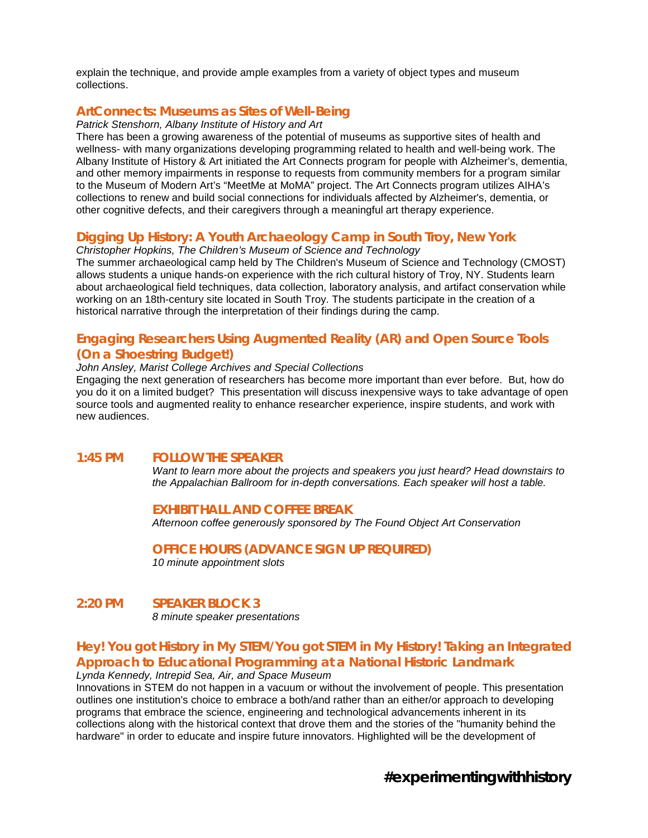explain the technique, and provide ample examples from a variety of object types and museum collections.

## **ArtConnects: Museums as Sites of Well-Being**

*Patrick Stenshorn, Albany Institute of History and Art*

There has been a growing awareness of the potential of museums as supportive sites of health and wellness- with many organizations developing programming related to health and well-being work. The Albany Institute of History & Art initiated the Art Connects program for people with Alzheimer's, dementia, and other memory impairments in response to requests from community members for a program similar to the Museum of Modern Art's "MeetMe at MoMA" project. The Art Connects program utilizes AIHA's collections to renew and build social connections for individuals affected by Alzheimer's, dementia, or other cognitive defects, and their caregivers through a meaningful art therapy experience.

## **Digging Up History: A Youth Archaeology Camp in South Troy, New York**

*Christopher Hopkins, The Children's Museum of Science and Technology*

The summer archaeological camp held by The Children's Museum of Science and Technology (CMOST) allows students a unique hands-on experience with the rich cultural history of Troy, NY. Students learn about archaeological field techniques, data collection, laboratory analysis, and artifact conservation while working on an 18th-century site located in South Troy. The students participate in the creation of a historical narrative through the interpretation of their findings during the camp.

## **Engaging Researchers Using Augmented Reality (AR) and Open Source Tools (On a Shoestring Budget!)**

*John Ansley, Marist College Archives and Special Collections*

Engaging the next generation of researchers has become more important than ever before. But, how do you do it on a limited budget? This presentation will discuss inexpensive ways to take advantage of open source tools and augmented reality to enhance researcher experience, inspire students, and work with new audiences.

## **1:45 PM FOLLOW THE SPEAKER**

*Want to learn more about the projects and speakers you just heard? Head downstairs to the Appalachian Ballroom for in-depth conversations. Each speaker will host a table.*

#### **EXHIBIT HALL AND COFFEE BREAK**

*Afternoon coffee generously sponsored by The Found Object Art Conservation*

#### **OFFICE HOURS (ADVANCE SIGN UP REQUIRED)**

*10 minute appointment slots* 

#### **2:20 PM SPEAKER BLOCK 3** *8 minute speaker presentations*

#### **Hey! You got History in My STEM/You got STEM in My History! Taking an Integrated Approach to Educational Programming at a National Historic Landmark** *Lynda Kennedy, Intrepid Sea, Air, and Space Museum*

Innovations in STEM do not happen in a vacuum or without the involvement of people. This presentation outlines one institution's choice to embrace a both/and rather than an either/or approach to developing programs that embrace the science, engineering and technological advancements inherent in its collections along with the historical context that drove them and the stories of the "humanity behind the hardware" in order to educate and inspire future innovators. Highlighted will be the development of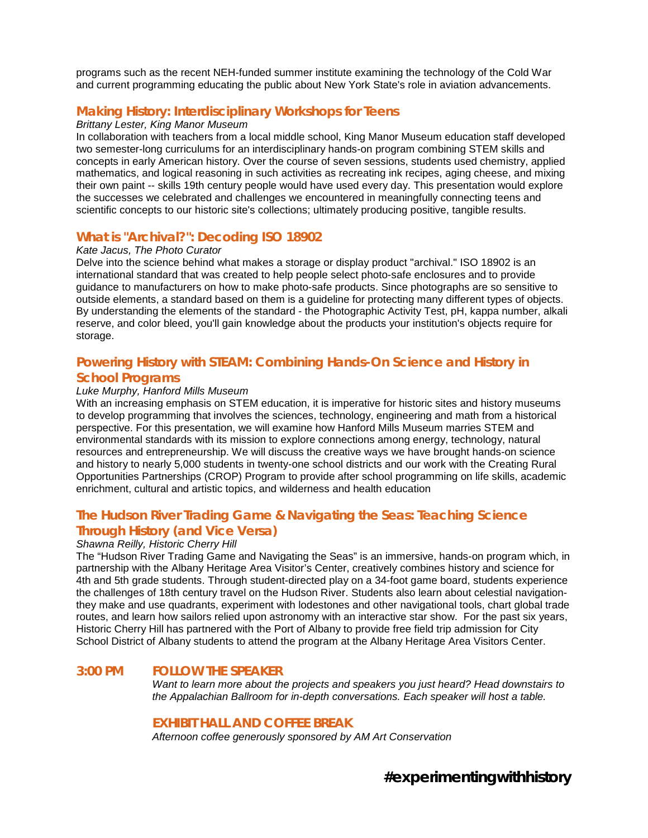programs such as the recent NEH-funded summer institute examining the technology of the Cold War and current programming educating the public about New York State's role in aviation advancements.

## **Making History: Interdisciplinary Workshops for Teens**

#### *Brittany Lester, King Manor Museum*

In collaboration with teachers from a local middle school, King Manor Museum education staff developed two semester-long curriculums for an interdisciplinary hands-on program combining STEM skills and concepts in early American history. Over the course of seven sessions, students used chemistry, applied mathematics, and logical reasoning in such activities as recreating ink recipes, aging cheese, and mixing their own paint -- skills 19th century people would have used every day. This presentation would explore the successes we celebrated and challenges we encountered in meaningfully connecting teens and scientific concepts to our historic site's collections; ultimately producing positive, tangible results.

#### **What is "Archival?": Decoding ISO 18902**

#### *Kate Jacus, The Photo Curator*

Delve into the science behind what makes a storage or display product "archival." ISO 18902 is an international standard that was created to help people select photo-safe enclosures and to provide guidance to manufacturers on how to make photo-safe products. Since photographs are so sensitive to outside elements, a standard based on them is a guideline for protecting many different types of objects. By understanding the elements of the standard - the Photographic Activity Test, pH, kappa number, alkali reserve, and color bleed, you'll gain knowledge about the products your institution's objects require for storage.

## **Powering History with STEAM: Combining Hands-On Science and History in School Programs**

#### *Luke Murphy, Hanford Mills Museum*

With an increasing emphasis on STEM education, it is imperative for historic sites and history museums to develop programming that involves the sciences, technology, engineering and math from a historical perspective. For this presentation, we will examine how Hanford Mills Museum marries STEM and environmental standards with its mission to explore connections among energy, technology, natural resources and entrepreneurship. We will discuss the creative ways we have brought hands-on science and history to nearly 5,000 students in twenty-one school districts and our work with the Creating Rural Opportunities Partnerships (CROP) Program to provide after school programming on life skills, academic enrichment, cultural and artistic topics, and wilderness and health education

## **The Hudson River Trading Game & Navigating the Seas: Teaching Science Through History (and Vice Versa)**

#### *Shawna Reilly, Historic Cherry Hill*

The "Hudson River Trading Game and Navigating the Seas" is an immersive, hands-on program which, in partnership with the Albany Heritage Area Visitor's Center, creatively combines history and science for 4th and 5th grade students. Through student-directed play on a 34-foot game board, students experience the challenges of 18th century travel on the Hudson River. Students also learn about celestial navigationthey make and use quadrants, experiment with lodestones and other navigational tools, chart global trade routes, and learn how sailors relied upon astronomy with an interactive star show. For the past six years, Historic Cherry Hill has partnered with the Port of Albany to provide free field trip admission for City School District of Albany students to attend the program at the Albany Heritage Area Visitors Center.

#### **3:00 PM FOLLOW THE SPEAKER**

*Want to learn more about the projects and speakers you just heard? Head downstairs to the Appalachian Ballroom for in-depth conversations. Each speaker will host a table.*

#### **EXHIBIT HALL AND COFFEE BREAK**

*Afternoon coffee generously sponsored by AM Art Conservation*